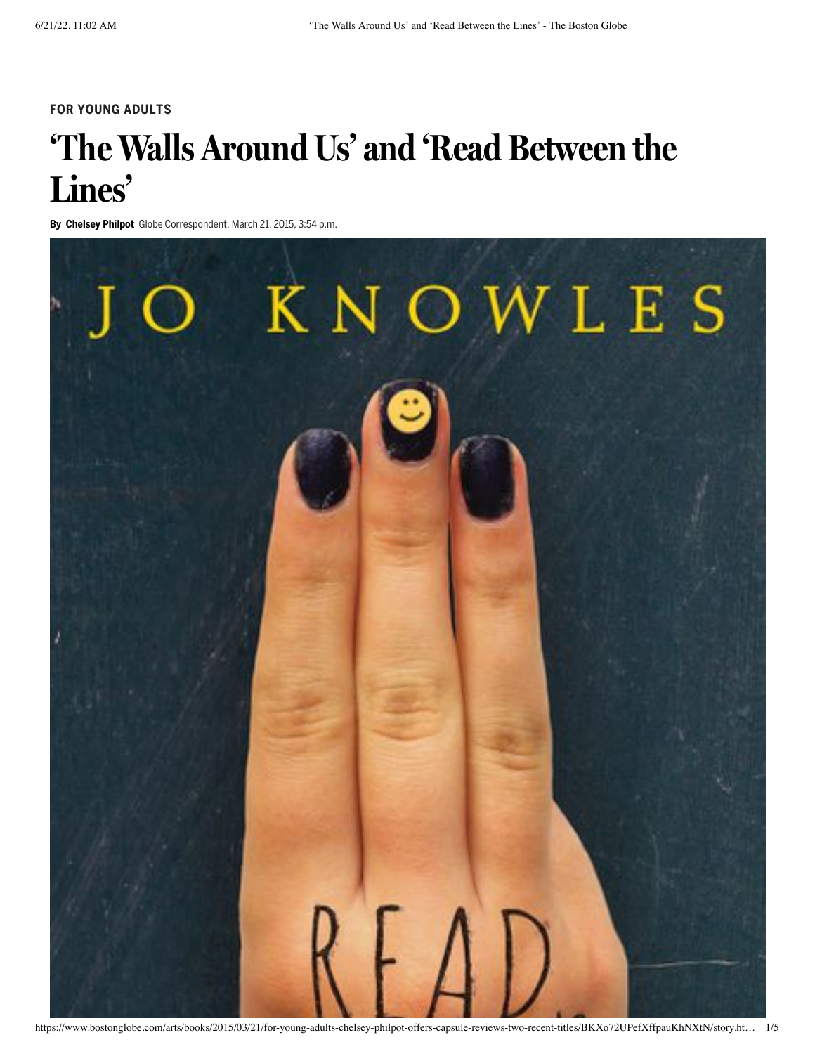## **FOR YOUNG ADULTS**

# **'The Walls Around Us' and 'Read Between the Lines'**

**By Chelsey Philpot** Globe Correspondent, March 21, 2015, 3:54 p.m.

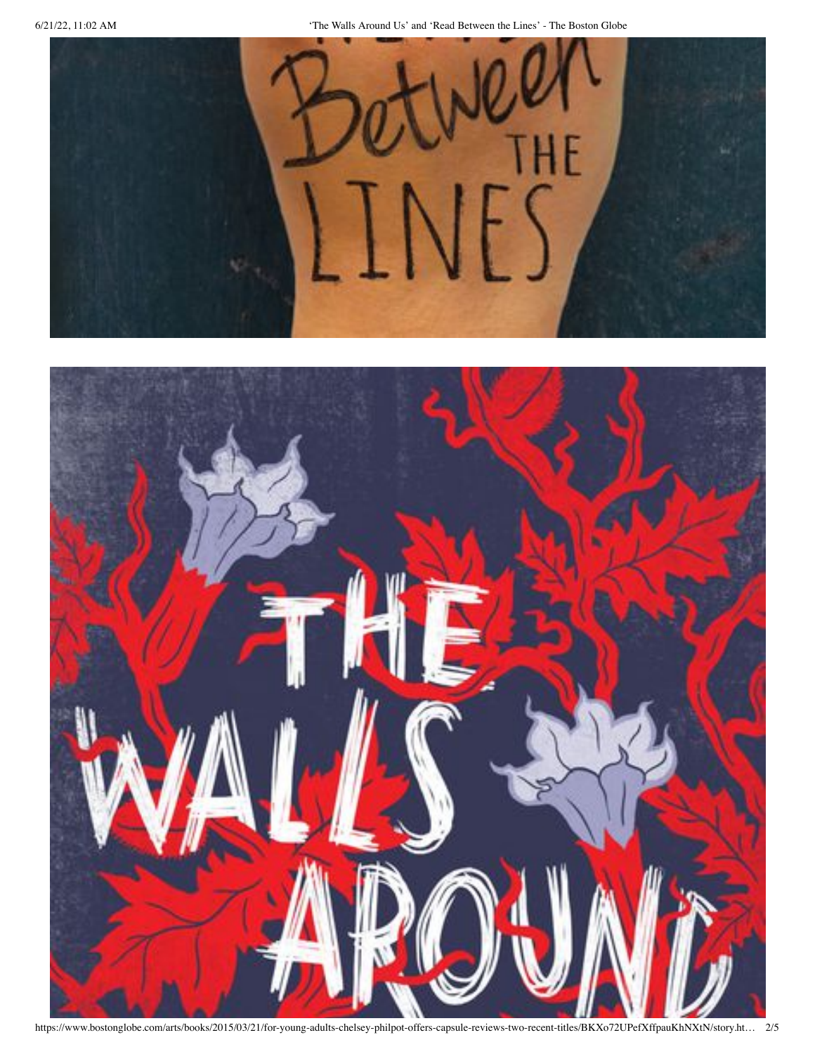6/21/22, 11:02 AM 'The Walls Around Us' and 'Read Between the Lines' - The Boston Globe





https://www.bostonglobe.com/arts/books/2015/03/21/for-young-adults-chelsey-philpot-offers-capsule-reviews-two-recent-titles/BKXo72UPefXffpauKhNXtN/story.ht… 2/5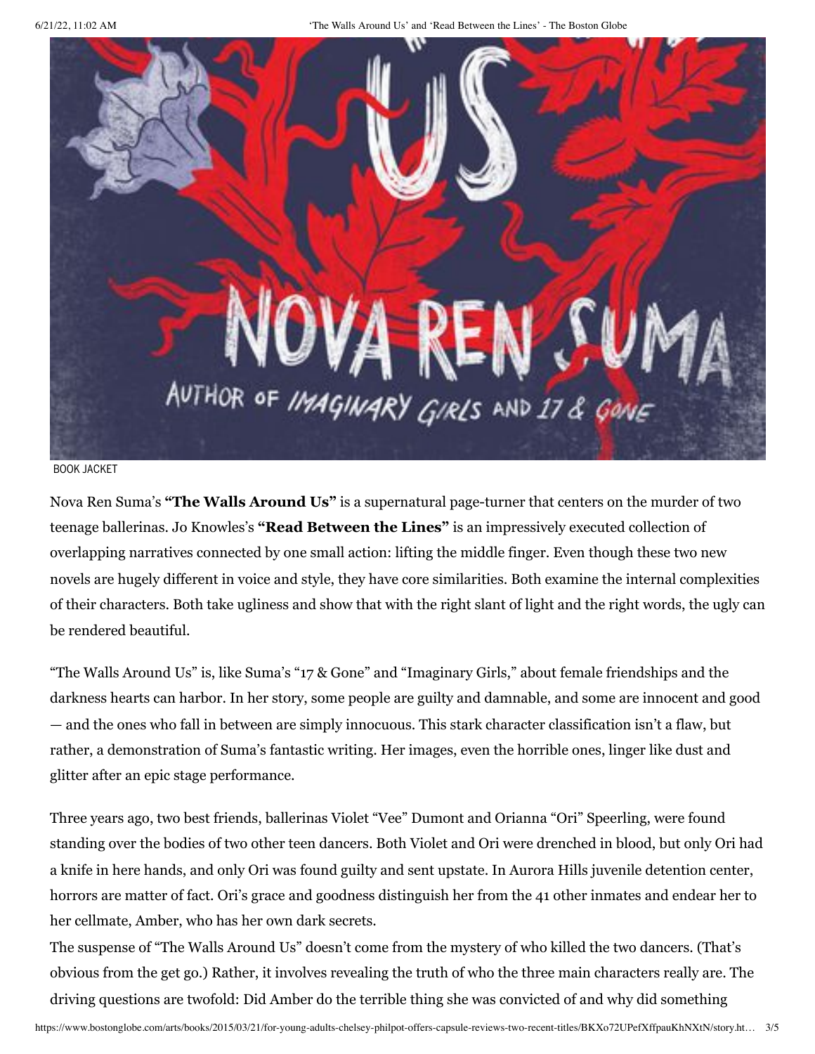

## BOOK JACKET

Nova Ren Suma's **"The Walls Around Us"** is a supernatural page-turner that centers on the murder of two teenage ballerinas. Jo Knowles's **"Read Between the Lines"** is an impressively executed collection of overlapping narratives connected by one small action: lifting the middle finger. Even though these two new novels are hugely different in voice and style, they have core similarities. Both examine the internal complexities of their characters. Both take ugliness and show that with the right slant of light and the right words, the ugly can be rendered beautiful.

"The Walls Around Us" is, like Suma's "17 & Gone" and "Imaginary Girls," about female friendships and the darkness hearts can harbor. In her story, some people are guilty and damnable, and some are innocent and good — and the ones who fall in between are simply innocuous. This stark character classification isn't a flaw, but rather, a demonstration of Suma's fantastic writing. Her images, even the horrible ones, linger like dust and glitter after an epic stage performance.

Three years ago, two best friends, ballerinas Violet "Vee" Dumont and Orianna "Ori" Speerling, were found standing over the bodies of two other teen dancers. Both Violet and Ori were drenched in blood, but only Ori had a knife in here hands, and only Ori was found guilty and sent upstate. In Aurora Hills juvenile detention center, horrors are matter of fact. Ori's grace and goodness distinguish her from the 41 other inmates and endear her to her cellmate, Amber, who has her own dark secrets.

The suspense of "The Walls Around Us" doesn't come from the mystery of who killed the two dancers. (That's obvious from the get go.) Rather, it involves revealing the truth of who the three main characters really are. The driving questions are twofold: Did Amber do the terrible thing she was convicted of and why did something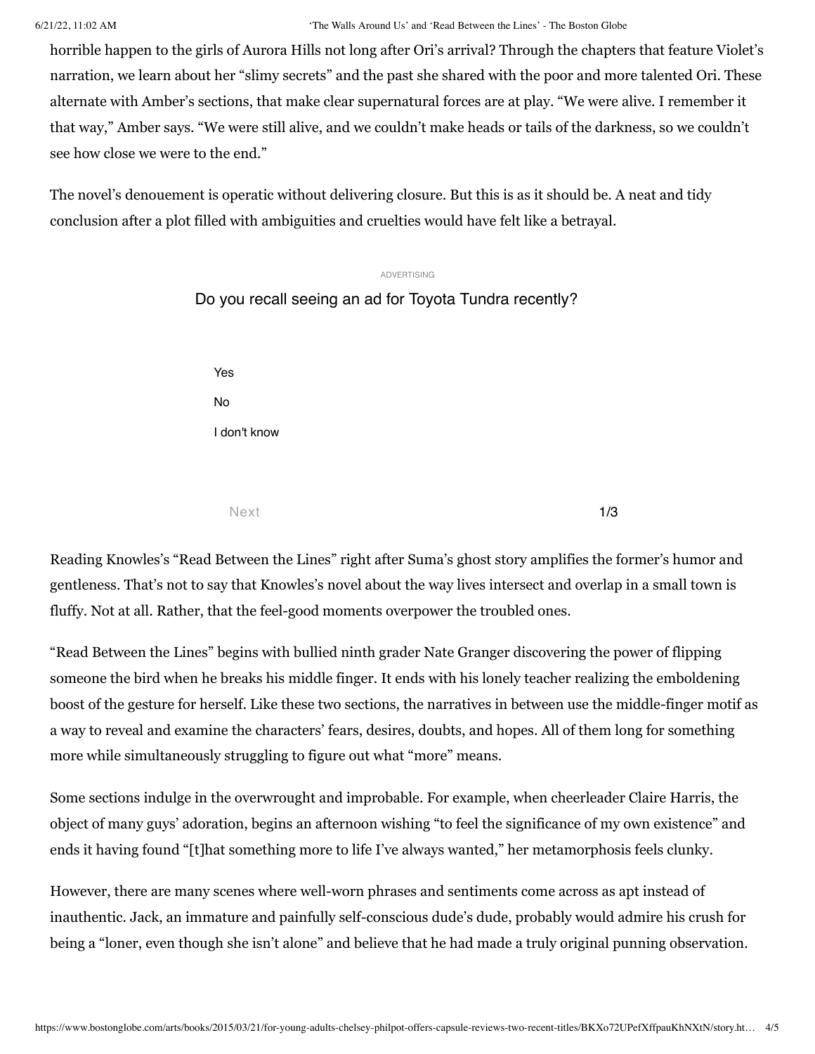#### 6/21/22, 11:02 AM 'The Walls Around Us' and 'Read Between the Lines' - The Boston Globe

horrible happen to the girls of Aurora Hills not long after Ori's arrival? Through the chapters that feature Violet's narration, we learn about her "slimy secrets" and the past she shared with the poor and more talented Ori. These alternate with Amber's sections, that make clear supernatural forces are at play. "We were alive. I remember it that way," Amber says. "We were still alive, and we couldn't make heads or tails of the darkness, so we couldn't see how close we were to the end."

The novel's denouement is operatic without delivering closure. But this is as it should be. A neat and tidy conclusion after a plot filled with ambiguities and cruelties would have felt like a betrayal.



Next

3/3

Reading Knowles's "Read Between the Lines" right after Suma's ghost story amplifies the former's humor and gentleness. That's not to say that Knowles's novel about the way lives intersect and overlap in a small town is fluffy. Not at all. Rather, that the feel-good moments overpower the troubled ones.

"Read Between the Lines" begins with bullied ninth grader Nate Granger discovering the power of flipping someone the bird when he breaks his middle finger. It ends with his lonely teacher realizing the emboldening boost of the gesture for herself. Like these two sections, the narratives in between use the middle-finger motif as a way to reveal and examine the characters' fears, desires, doubts, and hopes. All of them long for something more while simultaneously struggling to figure out what "more" means.

Some sections indulge in the overwrought and improbable. For example, when cheerleader Claire Harris, the object of many guys' adoration, begins an afternoon wishing "to feel the significance of my own existence" and ends it having found "[t]hat something more to life I've always wanted," her metamorphosis feels clunky.

However, there are many scenes where well-worn phrases and sentiments come across as apt instead of inauthentic. Jack, an immature and painfully self-conscious dude's dude, probably would admire his crush for being a "loner, even though she isn't alone" and believe that he had made a truly original punning observation.